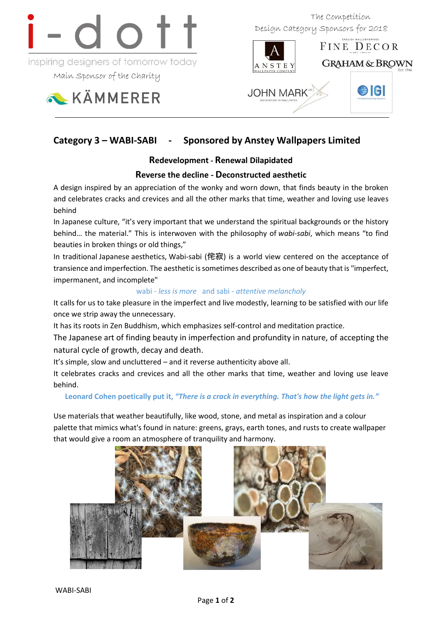

inspiring designers of tomorrow today

Main Sponsor of the Charity

KÄMMERER

 The Competition Design Category Sponsors for 2018



# **Category 3 – WABI-SABI - Sponsored by Anstey Wallpapers Limited**

## **Redevelopment - Renewal Dilapidated**

## **Reverse the decline - Deconstructed aesthetic**

A design inspired by an appreciation of the wonky and worn down, that finds beauty in the broken and celebrates cracks and crevices and all the other marks that time, weather and loving use leaves behind

In Japanese culture, "it's very important that we understand the spiritual backgrounds or the history behind… the material." This is interwoven with the philosophy of *wabi-sabi*, which means "to find beauties in broken things or old things,"

In traditional Japanese aesthetics, Wabi-sabi (侘寂) is a world view centered on the acceptance of transience and imperfection. The aesthetic is sometimes described as one of beauty that is "imperfect, impermanent, and incomplete"

### wabi - *less is more* and sabi - *attentive melancholy*

It calls for us to take pleasure in the imperfect and live modestly, learning to be satisfied with our life once we strip away the unnecessary.

It has its roots in Zen Buddhism, which emphasizes self-control and meditation practice.

The Japanese art of finding beauty in imperfection and profundity in nature, of accepting the natural cycle of growth, decay and death.

It's simple, slow and uncluttered – and it reverse authenticity above all.

It celebrates cracks and crevices and all the other marks that time, weather and loving use leave behind.

### **Leonard Cohen poetically put it,** *"There is a crack in everything. That's how the light gets in."*

Use materials that weather beautifully, like wood, stone, and metal as inspiration and a colour palette that mimics what's found in nature: greens, grays, earth tones, and rusts to create wallpaper that would give a room an atmosphere of tranquility and harmony.